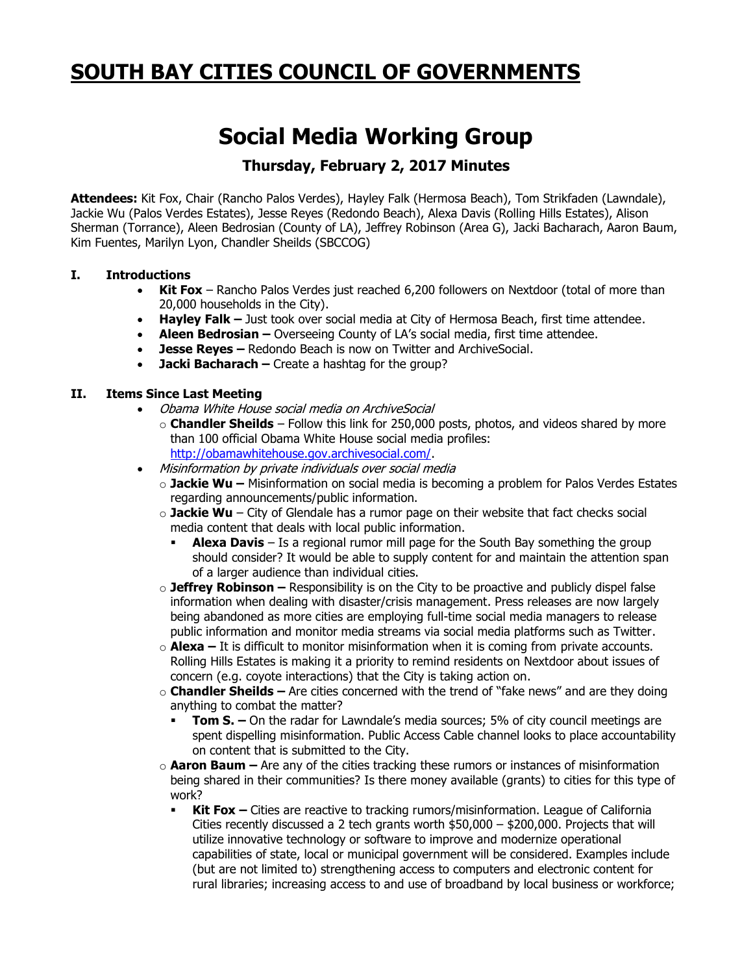## **SOUTH BAY CITIES COUNCIL OF GOVERNMENTS**

# **Social Media Working Group**

### **Thursday, February 2, 2017 Minutes**

**Attendees:** Kit Fox, Chair (Rancho Palos Verdes), Hayley Falk (Hermosa Beach), Tom Strikfaden (Lawndale), Jackie Wu (Palos Verdes Estates), Jesse Reyes (Redondo Beach), Alexa Davis (Rolling Hills Estates), Alison Sherman (Torrance), Aleen Bedrosian (County of LA), Jeffrey Robinson (Area G), Jacki Bacharach, Aaron Baum, Kim Fuentes, Marilyn Lyon, Chandler Sheilds (SBCCOG)

#### **I. Introductions**

- **Kit Fox** Rancho Palos Verdes just reached 6,200 followers on Nextdoor (total of more than 20,000 households in the City).
- **Hayley Falk –** Just took over social media at City of Hermosa Beach, first time attendee.
- **Aleen Bedrosian –** Overseeing County of LA's social media, first time attendee.
- **Jesse Reyes –** Redondo Beach is now on Twitter and ArchiveSocial.
- **Jacki Bacharach –** Create a hashtag for the group?

#### **II. Items Since Last Meeting**

- Obama White House social media on ArchiveSocial
	- o **Chandler Sheilds** Follow this link for 250,000 posts, photos, and videos shared by more than 100 official Obama White House social media profiles: [http://obamawhitehouse.gov.archivesocial.com/.](http://obamawhitehouse.gov.archivesocial.com/)
- Misinformation by private individuals over social media
	- o **Jackie Wu –** Misinformation on social media is becoming a problem for Palos Verdes Estates regarding announcements/public information.
	- o **Jackie Wu** City of Glendale has a rumor page on their website that fact checks social media content that deals with local public information.
		- **Alexa Davis** Is a regional rumor mill page for the South Bay something the group should consider? It would be able to supply content for and maintain the attention span of a larger audience than individual cities.
	- o **Jeffrey Robinson –** Responsibility is on the City to be proactive and publicly dispel false information when dealing with disaster/crisis management. Press releases are now largely being abandoned as more cities are employing full-time social media managers to release public information and monitor media streams via social media platforms such as Twitter.
	- o **Alexa –** It is difficult to monitor misinformation when it is coming from private accounts. Rolling Hills Estates is making it a priority to remind residents on Nextdoor about issues of concern (e.g. coyote interactions) that the City is taking action on.
	- o **Chandler Sheilds –** Are cities concerned with the trend of "fake news" and are they doing anything to combat the matter?
		- **Tom S.** On the radar for Lawndale's media sources; 5% of city council meetings are spent dispelling misinformation. Public Access Cable channel looks to place accountability on content that is submitted to the City.
	- o **Aaron Baum –** Are any of the cities tracking these rumors or instances of misinformation being shared in their communities? Is there money available (grants) to cities for this type of work?
		- **Kit Fox –** Cities are reactive to tracking rumors/misinformation. League of California Cities recently discussed a 2 tech grants worth  $$50,000 - $200,000$ . Projects that will utilize innovative technology or software to improve and modernize operational capabilities of state, local or municipal government will be considered. Examples include (but are not limited to) strengthening access to computers and electronic content for rural libraries; increasing access to and use of broadband by local business or workforce;